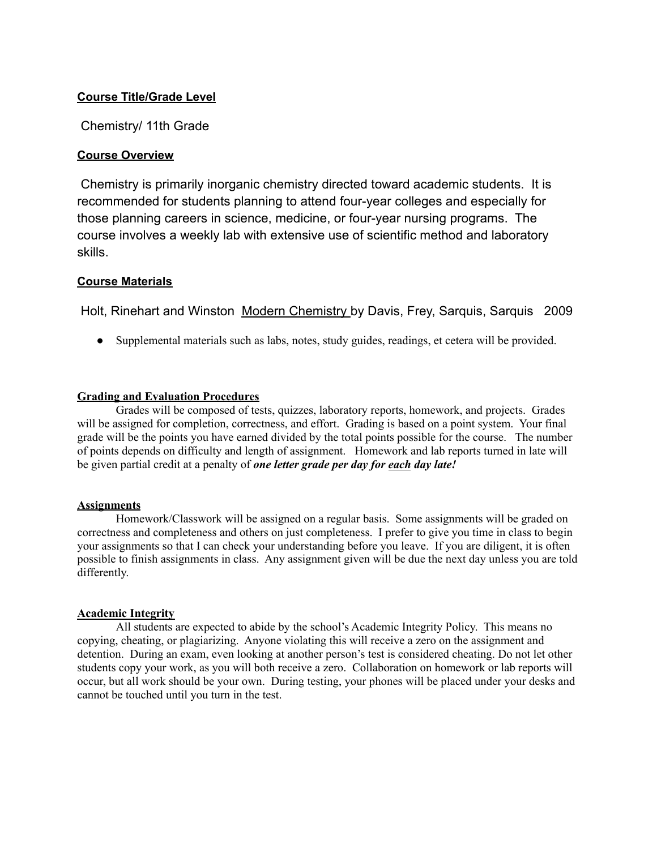## **Course Title/Grade Level**

Chemistry/ 11th Grade

## **Course Overview**

Chemistry is primarily inorganic chemistry directed toward academic students. It is recommended for students planning to attend four-year colleges and especially for those planning careers in science, medicine, or four-year nursing programs. The course involves a weekly lab with extensive use of scientific method and laboratory skills.

## **Course Materials**

Holt, Rinehart and Winston Modern Chemistry by Davis, Frey, Sarquis, Sarquis 2009

• Supplemental materials such as labs, notes, study guides, readings, et cetera will be provided.

## **Grading and Evaluation Procedures**

Grades will be composed of tests, quizzes, laboratory reports, homework, and projects. Grades will be assigned for completion, correctness, and effort. Grading is based on a point system. Your final grade will be the points you have earned divided by the total points possible for the course. The number of points depends on difficulty and length of assignment. Homework and lab reports turned in late will be given partial credit at a penalty of *one letter grade per day for each day late!*

## **Assignments**

Homework/Classwork will be assigned on a regular basis. Some assignments will be graded on correctness and completeness and others on just completeness. I prefer to give you time in class to begin your assignments so that I can check your understanding before you leave. If you are diligent, it is often possible to finish assignments in class. Any assignment given will be due the next day unless you are told differently.

## **Academic Integrity**

All students are expected to abide by the school's Academic Integrity Policy. This means no copying, cheating, or plagiarizing. Anyone violating this will receive a zero on the assignment and detention. During an exam, even looking at another person's test is considered cheating. Do not let other students copy your work, as you will both receive a zero. Collaboration on homework or lab reports will occur, but all work should be your own. During testing, your phones will be placed under your desks and cannot be touched until you turn in the test.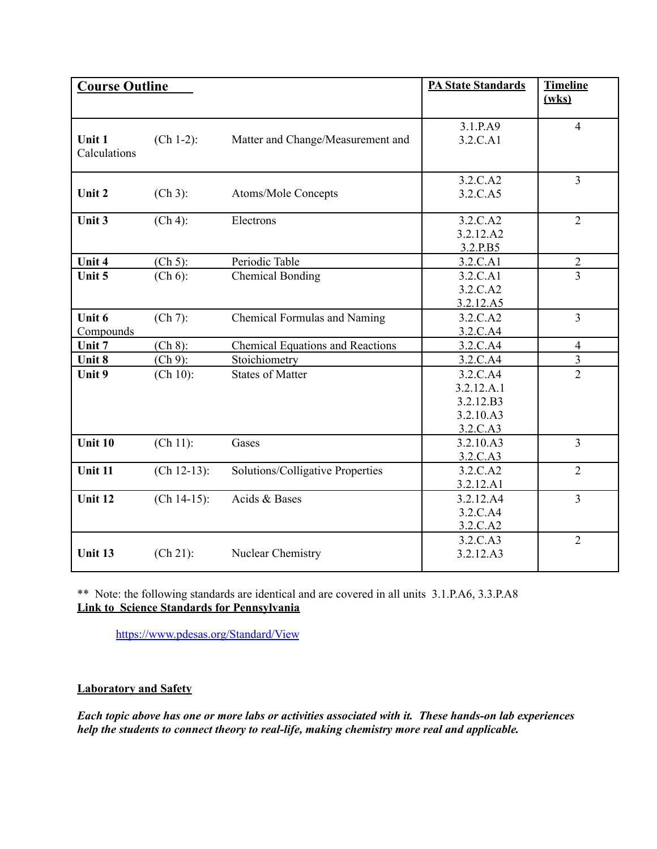| <b>Course Outline</b> |               |                                         | <b>PA State Standards</b> | <b>Timeline</b>         |
|-----------------------|---------------|-----------------------------------------|---------------------------|-------------------------|
|                       |               |                                         |                           | (wks)                   |
|                       |               |                                         |                           |                         |
|                       |               |                                         | 3.1.P.A9                  | $\overline{4}$          |
| Unit 1                | $(Ch 1-2)$ :  | Matter and Change/Measurement and       | 3.2.C.A1                  |                         |
| Calculations          |               |                                         |                           |                         |
|                       |               |                                         | 3.2.C.A2                  | 3                       |
| Unit 2                | $(Ch 3)$ :    | Atoms/Mole Concepts                     | 3.2.C.A5                  |                         |
|                       |               |                                         |                           |                         |
| Unit 3                | $(Ch 4)$ :    | Electrons                               | 3.2.C.A2                  | $\overline{2}$          |
|                       |               |                                         | 3.2.12.A2                 |                         |
|                       |               |                                         | 3.2.P.B5                  |                         |
| Unit 4                | $(Ch 5)$ :    | Periodic Table                          | 3.2.C.A1                  | $\overline{2}$          |
| Unit 5                | $(Ch 6)$ :    | <b>Chemical Bonding</b>                 | 3.2.C.A1                  | $\overline{3}$          |
|                       |               |                                         | 3.2.C.A2                  |                         |
|                       |               |                                         | 3.2.12.A5                 |                         |
| Unit 6                | $(Ch 7)$ :    | Chemical Formulas and Naming            | 3.2.C.A2                  | $\overline{3}$          |
| Compounds             |               |                                         | 3.2.C.A4                  |                         |
| Unit 7                | $(Ch 8)$ :    | <b>Chemical Equations and Reactions</b> | 3.2.C.A4                  | $\overline{4}$          |
| Unit 8                | $(Ch 9)$ :    | Stoichiometry                           | 3.2.C.A4                  | $\overline{\mathbf{3}}$ |
| Unit 9                | (Ch 10):      | <b>States of Matter</b>                 | 3.2.C.A4                  | $\overline{2}$          |
|                       |               |                                         | 3.2.12.A.1                |                         |
|                       |               |                                         | 3.2.12.B3                 |                         |
|                       |               |                                         | 3.2.10.A3                 |                         |
|                       |               |                                         | 3.2.C.A3                  |                         |
| Unit 10               | (Ch 11):      | Gases                                   | 3.2.10.A3                 | $\overline{3}$          |
|                       |               |                                         | 3.2.C.A3                  |                         |
| Unit 11               | $(Ch 12-13):$ | Solutions/Colligative Properties        | 3.2.C.A2                  | $\overline{2}$          |
|                       |               |                                         | 3.2.12.A1                 |                         |
| Unit 12               | $(Ch 14-15):$ | Acids & Bases                           | 3.2.12.A4                 | $\overline{3}$          |
|                       |               |                                         | 3.2.C.A4                  |                         |
|                       |               |                                         | 3.2.C.A2                  |                         |
|                       |               |                                         | 3.2.C.A3                  | $\overline{2}$          |
| Unit 13               | $(Ch 21)$ :   | Nuclear Chemistry                       | 3.2.12.A3                 |                         |
|                       |               |                                         |                           |                         |

\*\* Note: the following standards are identical and are covered in all units 3.1.P.A6, 3.3.P.A8 **Link to Science Standards for Pennsylvania**

<https://www.pdesas.org/Standard/View>

# **Laboratory and Safety**

*Each topic above has one or more labs or activities associated with it. These hands-on lab experiences help the students to connect theory to real-life, making chemistry more real and applicable.*